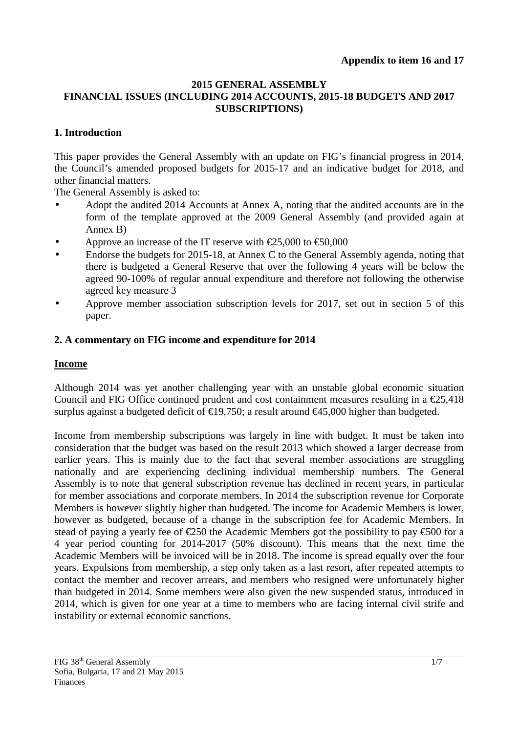#### **2015 GENERAL ASSEMBLY FINANCIAL ISSUES (INCLUDING 2014 ACCOUNTS, 2015-18 BUDGETS AND 2017 SUBSCRIPTIONS)**

## **1. Introduction**

This paper provides the General Assembly with an update on FIG's financial progress in 2014, the Council's amended proposed budgets for 2015-17 and an indicative budget for 2018, and other financial matters.

The General Assembly is asked to:

- Adopt the audited 2014 Accounts at Annex A, noting that the audited accounts are in the form of the template approved at the 2009 General Assembly (and provided again at Annex B)
- Approve an increase of the IT reserve with  $\epsilon$ 25,000 to  $\epsilon$ 50,000
- Endorse the budgets for 2015-18, at Annex C to the General Assembly agenda, noting that there is budgeted a General Reserve that over the following 4 years will be below the agreed 90-100% of regular annual expenditure and therefore not following the otherwise agreed key measure 3
- Approve member association subscription levels for 2017, set out in section 5 of this paper.

## **2. A commentary on FIG income and expenditure for 2014**

### **Income**

Although 2014 was yet another challenging year with an unstable global economic situation Council and FIG Office continued prudent and cost containment measures resulting in a  $\epsilon$ 25,418 surplus against a budgeted deficit of  $\text{£}19,750$ ; a result around  $\text{£}45,000$  higher than budgeted.

Income from membership subscriptions was largely in line with budget. It must be taken into consideration that the budget was based on the result 2013 which showed a larger decrease from earlier years. This is mainly due to the fact that several member associations are struggling nationally and are experiencing declining individual membership numbers. The General Assembly is to note that general subscription revenue has declined in recent years, in particular for member associations and corporate members. In 2014 the subscription revenue for Corporate Members is however slightly higher than budgeted. The income for Academic Members is lower, however as budgeted, because of a change in the subscription fee for Academic Members. In stead of paying a yearly fee of  $\epsilon$ 250 the Academic Members got the possibility to pay  $\epsilon$ 500 for a 4 year period counting for 2014-2017 (50% discount). This means that the next time the Academic Members will be invoiced will be in 2018. The income is spread equally over the four years. Expulsions from membership, a step only taken as a last resort, after repeated attempts to contact the member and recover arrears, and members who resigned were unfortunately higher than budgeted in 2014. Some members were also given the new suspended status, introduced in 2014, which is given for one year at a time to members who are facing internal civil strife and instability or external economic sanctions.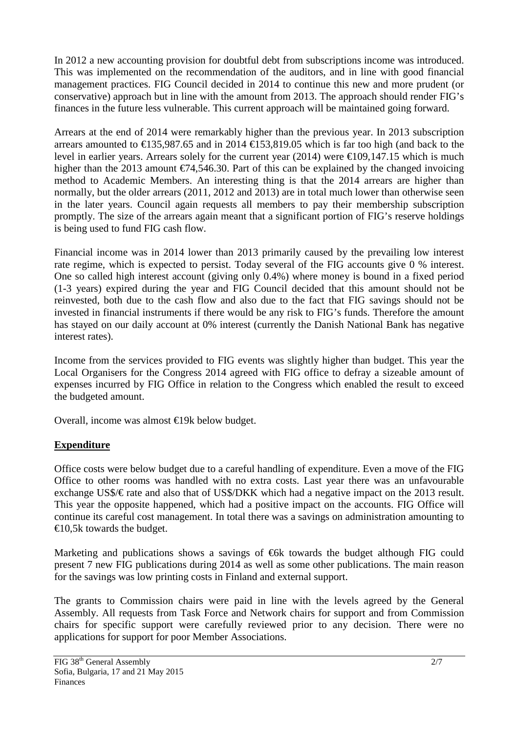In 2012 a new accounting provision for doubtful debt from subscriptions income was introduced. This was implemented on the recommendation of the auditors, and in line with good financial management practices. FIG Council decided in 2014 to continue this new and more prudent (or conservative) approach but in line with the amount from 2013. The approach should render FIG's finances in the future less vulnerable. This current approach will be maintained going forward.

Arrears at the end of 2014 were remarkably higher than the previous year. In 2013 subscription arrears amounted to  $\text{\textsterling}135,987.65$  and in 2014  $\text{\textsterling}153,89.05$  which is far too high (and back to the level in earlier years. Arrears solely for the current year (2014) were  $\epsilon$ 109,147.15 which is much higher than the 2013 amount  $\epsilon$ 74,546.30. Part of this can be explained by the changed invoicing method to Academic Members. An interesting thing is that the 2014 arrears are higher than normally, but the older arrears (2011, 2012 and 2013) are in total much lower than otherwise seen in the later years. Council again requests all members to pay their membership subscription promptly. The size of the arrears again meant that a significant portion of FIG's reserve holdings is being used to fund FIG cash flow.

Financial income was in 2014 lower than 2013 primarily caused by the prevailing low interest rate regime, which is expected to persist. Today several of the FIG accounts give 0 % interest. One so called high interest account (giving only 0.4%) where money is bound in a fixed period (1-3 years) expired during the year and FIG Council decided that this amount should not be reinvested, both due to the cash flow and also due to the fact that FIG savings should not be invested in financial instruments if there would be any risk to FIG's funds. Therefore the amount has stayed on our daily account at 0% interest (currently the Danish National Bank has negative interest rates).

Income from the services provided to FIG events was slightly higher than budget. This year the Local Organisers for the Congress 2014 agreed with FIG office to defray a sizeable amount of expenses incurred by FIG Office in relation to the Congress which enabled the result to exceed the budgeted amount.

Overall, income was almost €19k below budget.

# **Expenditure**

Office costs were below budget due to a careful handling of expenditure. Even a move of the FIG Office to other rooms was handled with no extra costs. Last year there was an unfavourable exchange US\$/ $\in$  rate and also that of US\$/DKK which had a negative impact on the 2013 result. This year the opposite happened, which had a positive impact on the accounts. FIG Office will continue its careful cost management. In total there was a savings on administration amounting to  $\epsilon$ 10,5k towards the budget.

Marketing and publications shows a savings of  $\epsilon$ 6k towards the budget although FIG could present 7 new FIG publications during 2014 as well as some other publications. The main reason for the savings was low printing costs in Finland and external support.

The grants to Commission chairs were paid in line with the levels agreed by the General Assembly. All requests from Task Force and Network chairs for support and from Commission chairs for specific support were carefully reviewed prior to any decision. There were no applications for support for poor Member Associations.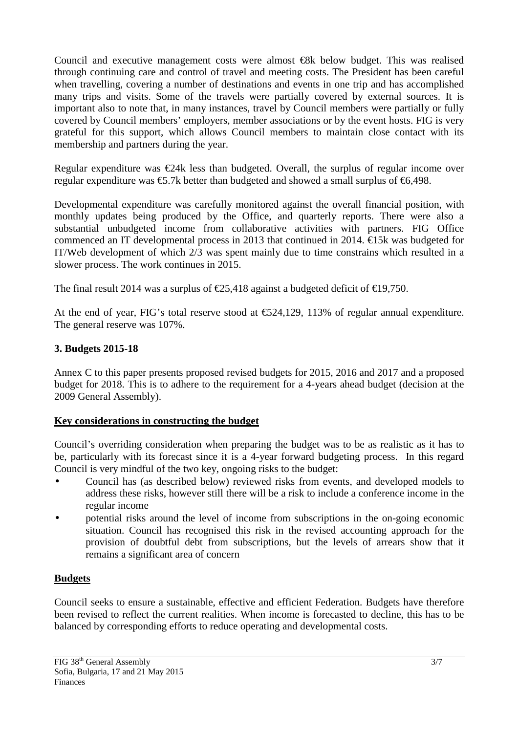Council and executive management costs were almost  $\epsilon$ 8k below budget. This was realised through continuing care and control of travel and meeting costs. The President has been careful when travelling, covering a number of destinations and events in one trip and has accomplished many trips and visits. Some of the travels were partially covered by external sources. It is important also to note that, in many instances, travel by Council members were partially or fully covered by Council members' employers, member associations or by the event hosts. FIG is very grateful for this support, which allows Council members to maintain close contact with its membership and partners during the year.

Regular expenditure was  $\epsilon$ 24k less than budgeted. Overall, the surplus of regular income over regular expenditure was  $\epsilon$ 5.7k better than budgeted and showed a small surplus of  $\epsilon$ 6,498.

Developmental expenditure was carefully monitored against the overall financial position, with monthly updates being produced by the Office, and quarterly reports. There were also a substantial unbudgeted income from collaborative activities with partners. FIG Office commenced an IT developmental process in 2013 that continued in 2014. €15k was budgeted for IT/Web development of which 2/3 was spent mainly due to time constrains which resulted in a slower process. The work continues in 2015.

The final result 2014 was a surplus of  $\epsilon$ 25,418 against a budgeted deficit of  $\epsilon$ 19,750.

At the end of year, FIG's total reserve stood at  $\epsilon \approx 24.129$ , 113% of regular annual expenditure. The general reserve was 107%.

#### **3. Budgets 2015-18**

Annex C to this paper presents proposed revised budgets for 2015, 2016 and 2017 and a proposed budget for 2018. This is to adhere to the requirement for a 4-years ahead budget (decision at the 2009 General Assembly).

#### **Key considerations in constructing the budget**

Council's overriding consideration when preparing the budget was to be as realistic as it has to be, particularly with its forecast since it is a 4-year forward budgeting process. In this regard Council is very mindful of the two key, ongoing risks to the budget:

- Council has (as described below) reviewed risks from events, and developed models to address these risks, however still there will be a risk to include a conference income in the regular income
- potential risks around the level of income from subscriptions in the on-going economic situation. Council has recognised this risk in the revised accounting approach for the provision of doubtful debt from subscriptions, but the levels of arrears show that it remains a significant area of concern

### **Budgets**

Council seeks to ensure a sustainable, effective and efficient Federation. Budgets have therefore been revised to reflect the current realities. When income is forecasted to decline, this has to be balanced by corresponding efforts to reduce operating and developmental costs.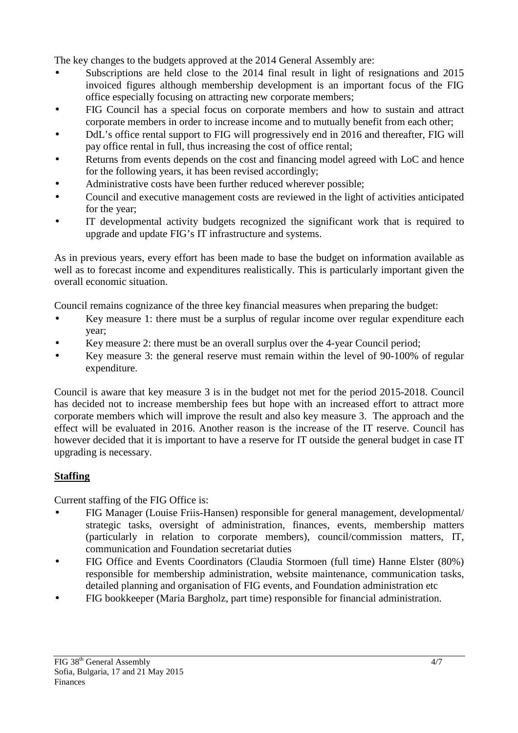The key changes to the budgets approved at the 2014 General Assembly are:

- Subscriptions are held close to the 2014 final result in light of resignations and 2015 invoiced figures although membership development is an important focus of the FIG office especially focusing on attracting new corporate members;
- FIG Council has a special focus on corporate members and how to sustain and attract corporate members in order to increase income and to mutually benefit from each other;
- DdL's office rental support to FIG will progressively end in 2016 and thereafter, FIG will pay office rental in full, thus increasing the cost of office rental;
- Returns from events depends on the cost and financing model agreed with LoC and hence for the following years, it has been revised accordingly;
- Administrative costs have been further reduced wherever possible;
- Council and executive management costs are reviewed in the light of activities anticipated for the year;
- IT developmental activity budgets recognized the significant work that is required to upgrade and update FIG's IT infrastructure and systems.

As in previous years, every effort has been made to base the budget on information available as well as to forecast income and expenditures realistically. This is particularly important given the overall economic situation.

Council remains cognizance of the three key financial measures when preparing the budget:

- Key measure 1: there must be a surplus of regular income over regular expenditure each year;
- Key measure 2: there must be an overall surplus over the 4-year Council period;
- Key measure 3: the general reserve must remain within the level of 90-100% of regular expenditure.

Council is aware that key measure 3 is in the budget not met for the period 2015-2018. Council has decided not to increase membership fees but hope with an increased effort to attract more corporate members which will improve the result and also key measure 3. The approach and the effect will be evaluated in 2016. Another reason is the increase of the IT reserve. Council has however decided that it is important to have a reserve for IT outside the general budget in case IT upgrading is necessary.

# **Staffing**

Current staffing of the FIG Office is:

- FIG Manager (Louise Friis-Hansen) responsible for general management, developmental/ strategic tasks, oversight of administration, finances, events, membership matters (particularly in relation to corporate members), council/commission matters, IT, communication and Foundation secretariat duties
- FIG Office and Events Coordinators (Claudia Stormoen (full time) Hanne Elster (80%) responsible for membership administration, website maintenance, communication tasks, detailed planning and organisation of FIG events, and Foundation administration etc
- FIG bookkeeper (Maria Bargholz, part time) responsible for financial administration.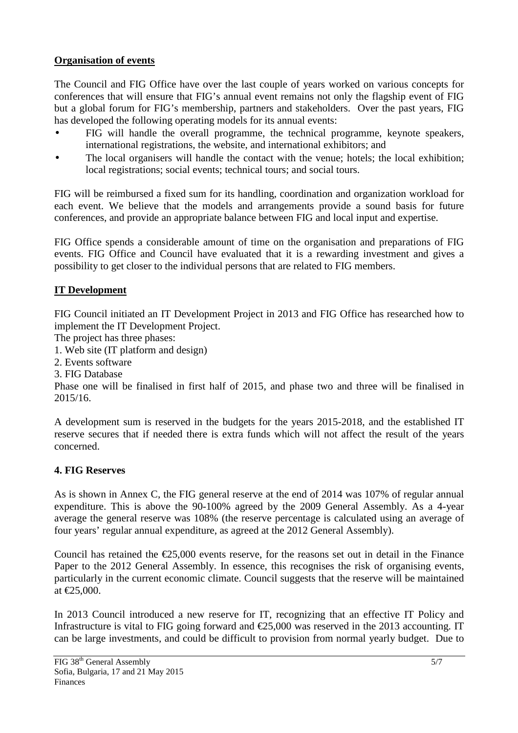### **Organisation of events**

The Council and FIG Office have over the last couple of years worked on various concepts for conferences that will ensure that FIG's annual event remains not only the flagship event of FIG but a global forum for FIG's membership, partners and stakeholders. Over the past years, FIG has developed the following operating models for its annual events:

- FIG will handle the overall programme, the technical programme, keynote speakers, international registrations, the website, and international exhibitors; and
- The local organisers will handle the contact with the venue; hotels; the local exhibition; local registrations; social events; technical tours; and social tours.

FIG will be reimbursed a fixed sum for its handling, coordination and organization workload for each event. We believe that the models and arrangements provide a sound basis for future conferences, and provide an appropriate balance between FIG and local input and expertise.

FIG Office spends a considerable amount of time on the organisation and preparations of FIG events. FIG Office and Council have evaluated that it is a rewarding investment and gives a possibility to get closer to the individual persons that are related to FIG members.

### **IT Development**

FIG Council initiated an IT Development Project in 2013 and FIG Office has researched how to implement the IT Development Project.

The project has three phases:

1. Web site (IT platform and design)

2. Events software

3. FIG Database

Phase one will be finalised in first half of 2015, and phase two and three will be finalised in 2015/16.

A development sum is reserved in the budgets for the years 2015-2018, and the established IT reserve secures that if needed there is extra funds which will not affect the result of the years concerned.

### **4. FIG Reserves**

As is shown in Annex C, the FIG general reserve at the end of 2014 was 107% of regular annual expenditure. This is above the 90-100% agreed by the 2009 General Assembly. As a 4-year average the general reserve was 108% (the reserve percentage is calculated using an average of four years' regular annual expenditure, as agreed at the 2012 General Assembly).

Council has retained the  $\epsilon$ 25,000 events reserve, for the reasons set out in detail in the Finance Paper to the 2012 General Assembly. In essence, this recognises the risk of organising events, particularly in the current economic climate. Council suggests that the reserve will be maintained at €25,000.

In 2013 Council introduced a new reserve for IT, recognizing that an effective IT Policy and Infrastructure is vital to FIG going forward and  $\epsilon$ 25,000 was reserved in the 2013 accounting. IT can be large investments, and could be difficult to provision from normal yearly budget. Due to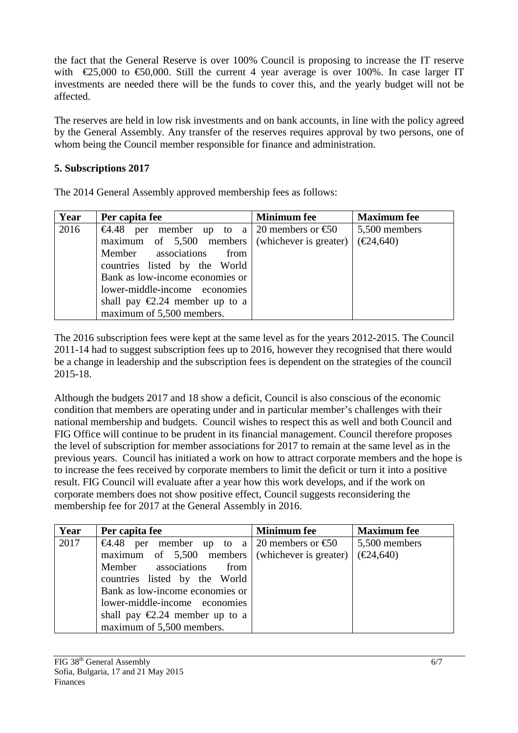the fact that the General Reserve is over 100% Council is proposing to increase the IT reserve with  $\epsilon$ 25,000 to  $\epsilon$ 50,000. Still the current 4 year average is over 100%. In case larger IT investments are needed there will be the funds to cover this, and the yearly budget will not be affected.

The reserves are held in low risk investments and on bank accounts, in line with the policy agreed by the General Assembly. Any transfer of the reserves requires approval by two persons, one of whom being the Council member responsible for finance and administration.

### **5. Subscriptions 2017**

The 2014 General Assembly approved membership fees as follows:

| Year | Per capita fee                                    | <b>Minimum</b> fee | <b>Maximum</b> fee             |
|------|---------------------------------------------------|--------------------|--------------------------------|
| 2016 | €4.48 per member up to a 20 members or €50        |                    | 5,500 members                  |
|      | maximum of $5,500$ members (whichever is greater) |                    | $(\text{\textsterling}24,640)$ |
|      | Member associations<br>from                       |                    |                                |
|      | countries listed by the World                     |                    |                                |
|      | Bank as low-income economies or                   |                    |                                |
|      | lower-middle-income economies                     |                    |                                |
|      | shall pay $\epsilon$ 2.24 member up to a          |                    |                                |
|      | maximum of 5,500 members.                         |                    |                                |

The 2016 subscription fees were kept at the same level as for the years 2012-2015. The Council 2011-14 had to suggest subscription fees up to 2016, however they recognised that there would be a change in leadership and the subscription fees is dependent on the strategies of the council 2015-18.

Although the budgets 2017 and 18 show a deficit, Council is also conscious of the economic condition that members are operating under and in particular member's challenges with their national membership and budgets. Council wishes to respect this as well and both Council and FIG Office will continue to be prudent in its financial management. Council therefore proposes the level of subscription for member associations for 2017 to remain at the same level as in the previous years. Council has initiated a work on how to attract corporate members and the hope is to increase the fees received by corporate members to limit the deficit or turn it into a positive result. FIG Council will evaluate after a year how this work develops, and if the work on corporate members does not show positive effect, Council suggests reconsidering the membership fee for 2017 at the General Assembly in 2016.

| Year | Per capita fee                                    | <b>Minimum</b> fee | <b>Maximum</b> fee             |
|------|---------------------------------------------------|--------------------|--------------------------------|
| 2017 | €4.48 per member up to a 20 members or €50        |                    | 5,500 members                  |
|      | maximum of $5,500$ members (whichever is greater) |                    | $(\text{\textsterling}24,640)$ |
|      | Member associations<br>from                       |                    |                                |
|      | countries listed by the World                     |                    |                                |
|      | Bank as low-income economies or                   |                    |                                |
|      | lower-middle-income economies                     |                    |                                |
|      | shall pay $\epsilon$ 2.24 member up to a          |                    |                                |
|      | maximum of 5,500 members.                         |                    |                                |